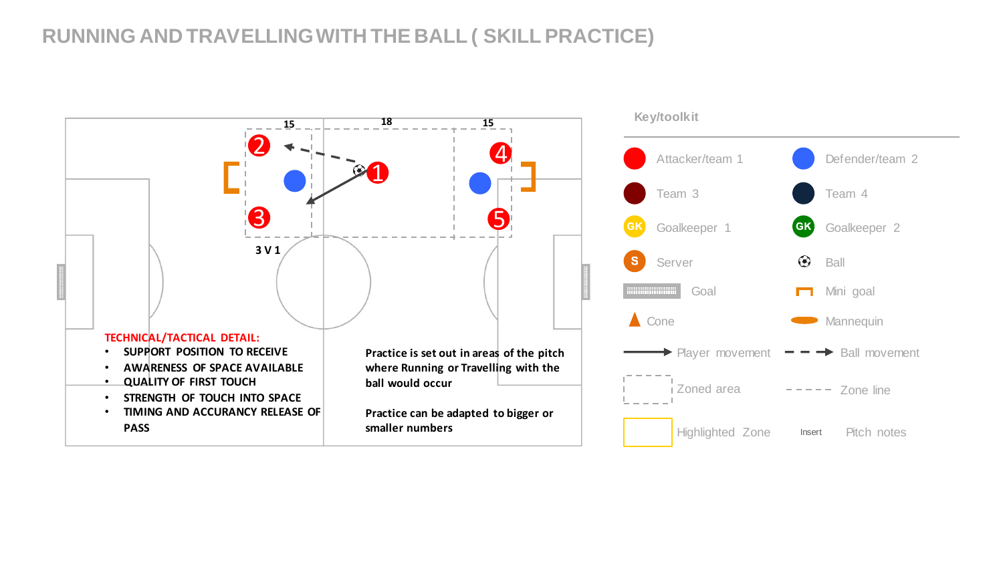## **RUNNING AND TRAVELLING WITH THE BALL ( SKILL PRACTICE)**